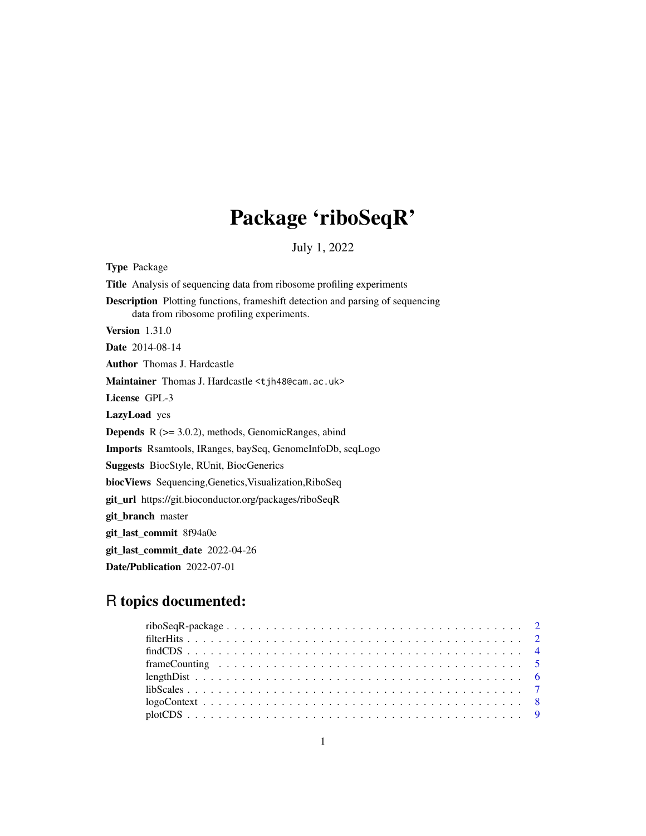# Package 'riboSeqR'

July 1, 2022

<span id="page-0-0"></span>Type Package Title Analysis of sequencing data from ribosome profiling experiments Description Plotting functions, frameshift detection and parsing of sequencing data from ribosome profiling experiments. Version 1.31.0 Date 2014-08-14 Author Thomas J. Hardcastle Maintainer Thomas J. Hardcastle <tjh48@cam.ac.uk> License GPL-3 LazyLoad yes Depends R (>= 3.0.2), methods, GenomicRanges, abind Imports Rsamtools, IRanges, baySeq, GenomeInfoDb, seqLogo Suggests BiocStyle, RUnit, BiocGenerics biocViews Sequencing,Genetics,Visualization,RiboSeq git\_url https://git.bioconductor.org/packages/riboSeqR git\_branch master git\_last\_commit 8f94a0e git\_last\_commit\_date 2022-04-26 Date/Publication 2022-07-01

# R topics documented:

| $\text{libScales} \dots \dots \dots \dots \dots \dots \dots \dots \dots \dots \dots \dots \dots \dots \dots \dots \dots \dots$ |  |
|--------------------------------------------------------------------------------------------------------------------------------|--|
|                                                                                                                                |  |
|                                                                                                                                |  |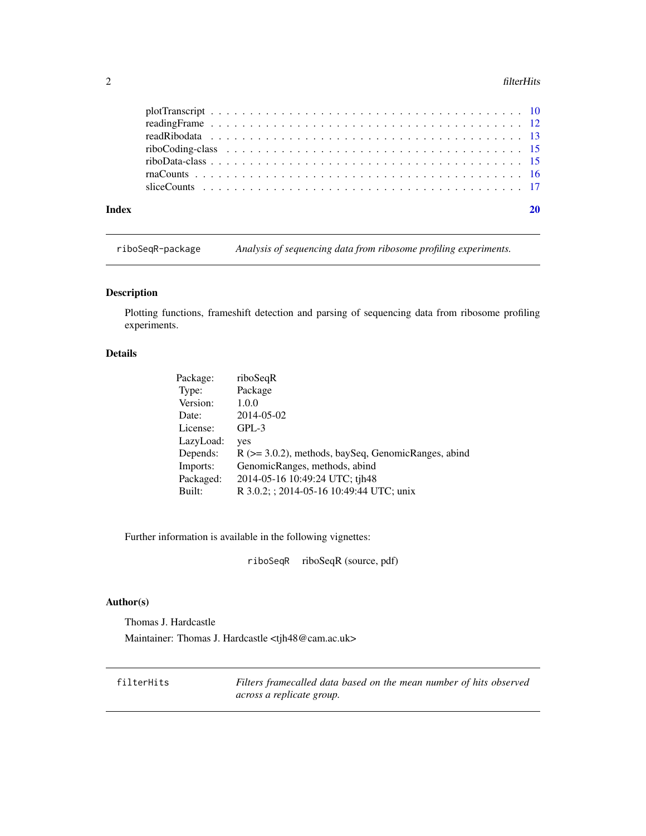#### <span id="page-1-0"></span> $2$  filterHits

| Index |  |
|-------|--|
|       |  |
|       |  |
|       |  |
|       |  |
|       |  |
|       |  |
|       |  |

riboSeqR-package *Analysis of sequencing data from ribosome profiling experiments.*

# Description

Plotting functions, frameshift detection and parsing of sequencing data from ribosome profiling experiments.

# Details

| Package:  | riboSeqR                                                 |
|-----------|----------------------------------------------------------|
| Type:     | Package                                                  |
| Version:  | 1.0.0                                                    |
| Date:     | 2014-05-02                                               |
| License:  | $GPL-3$                                                  |
| LazyLoad: | yes                                                      |
| Depends:  | $R$ ( $>=$ 3.0.2), methods, baySeq, GenomicRanges, abind |
| Imports:  | GenomicRanges, methods, abind                            |
| Packaged: | 2014-05-16 10:49:24 UTC; tjh48                           |
| Built:    | R 3.0.2; ; 2014-05-16 10:49:44 UTC; unix                 |

Further information is available in the following vignettes:

riboSeqR riboSeqR (source, pdf)

# Author(s)

Thomas J. Hardcastle Maintainer: Thomas J. Hardcastle <tjh48@cam.ac.uk>

filterHits *Filters framecalled data based on the mean number of hits observed across a replicate group.*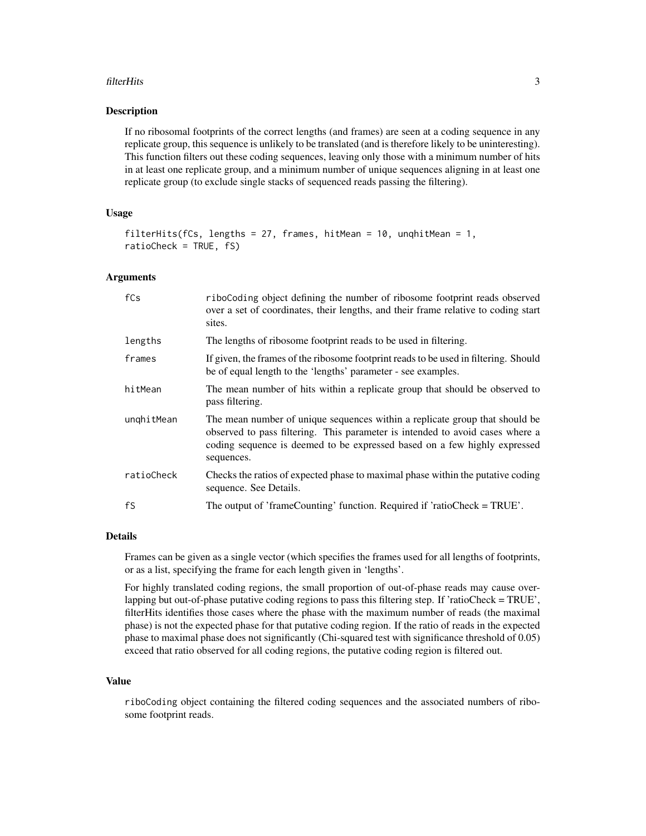#### filterHits 3

#### Description

If no ribosomal footprints of the correct lengths (and frames) are seen at a coding sequence in any replicate group, this sequence is unlikely to be translated (and is therefore likely to be uninteresting). This function filters out these coding sequences, leaving only those with a minimum number of hits in at least one replicate group, and a minimum number of unique sequences aligning in at least one replicate group (to exclude single stacks of sequenced reads passing the filtering).

# Usage

```
filterHits(fCs, lengths = 27, frames, hitMean = 10, unghitMean = 1,
ratioCheck = TRUE, fS)
```
#### Arguments

| fCs        | riboCoding object defining the number of ribosome footprint reads observed<br>over a set of coordinates, their lengths, and their frame relative to coding start<br>sites.                                                                              |
|------------|---------------------------------------------------------------------------------------------------------------------------------------------------------------------------------------------------------------------------------------------------------|
| lengths    | The lengths of ribosome footprint reads to be used in filtering.                                                                                                                                                                                        |
| frames     | If given, the frames of the ribosome footprint reads to be used in filtering. Should<br>be of equal length to the 'lengths' parameter - see examples.                                                                                                   |
| hitMean    | The mean number of hits within a replicate group that should be observed to<br>pass filtering.                                                                                                                                                          |
| unghitMean | The mean number of unique sequences within a replicate group that should be<br>observed to pass filtering. This parameter is intended to avoid cases where a<br>coding sequence is deemed to be expressed based on a few highly expressed<br>sequences. |
| ratioCheck | Checks the ratios of expected phase to maximal phase within the putative coding<br>sequence. See Details.                                                                                                                                               |
| fS         | The output of 'frameCounting' function. Required if 'ratioCheck = TRUE'.                                                                                                                                                                                |

#### **Details**

Frames can be given as a single vector (which specifies the frames used for all lengths of footprints, or as a list, specifying the frame for each length given in 'lengths'.

For highly translated coding regions, the small proportion of out-of-phase reads may cause overlapping but out-of-phase putative coding regions to pass this filtering step. If 'ratioCheck = TRUE', filterHits identifies those cases where the phase with the maximum number of reads (the maximal phase) is not the expected phase for that putative coding region. If the ratio of reads in the expected phase to maximal phase does not significantly (Chi-squared test with significance threshold of 0.05) exceed that ratio observed for all coding regions, the putative coding region is filtered out.

### Value

riboCoding object containing the filtered coding sequences and the associated numbers of ribosome footprint reads.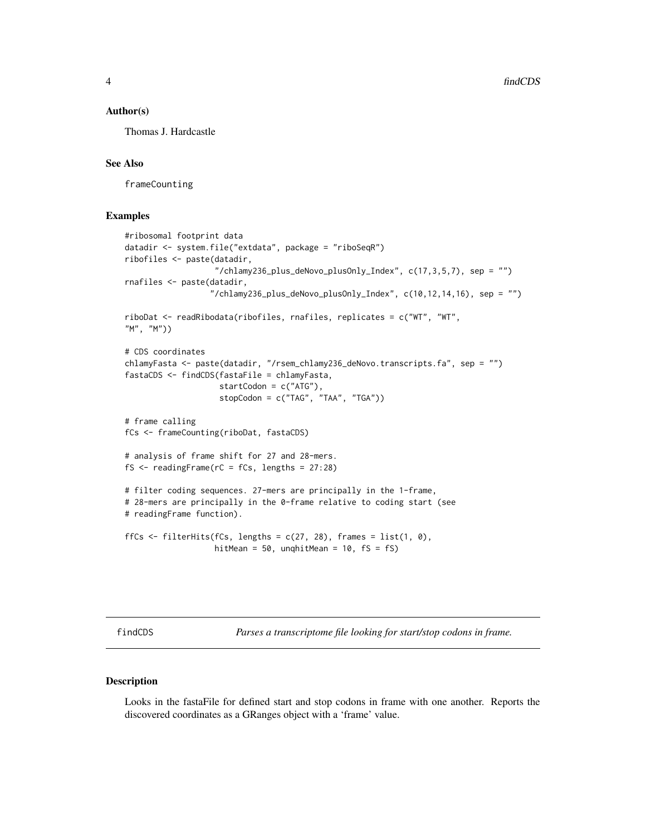#### <span id="page-3-0"></span>Author(s)

Thomas J. Hardcastle

# See Also

frameCounting

#### Examples

```
#ribosomal footprint data
datadir <- system.file("extdata", package = "riboSeqR")
ribofiles <- paste(datadir,
                   "/chlamy236_plus_deNovo_plusOnly_Index", c(17,3,5,7), sep = "")
rnafiles <- paste(datadir,
                  "/chlamy236_plus_deNovo_plusOnly_Index", c(10, 12, 14, 16), sep = "")
riboDat <- readRibodata(ribofiles, rnafiles, replicates = c("WT", "WT",
"M", "M"))
# CDS coordinates
chlamyFasta <- paste(datadir, "/rsem_chlamy236_deNovo.transcripts.fa", sep = "")
fastaCDS <- findCDS(fastaFile = chlamyFasta,
                    startCodon = c("ATG"),
                    stopCodon = c("TAG", "TAA", "TGA"))
# frame calling
fCs <- frameCounting(riboDat, fastaCDS)
# analysis of frame shift for 27 and 28-mers.
fS \le readingFrame(rC = fCs, lengths = 27:28)
# filter coding sequences. 27-mers are principally in the 1-frame,
# 28-mers are principally in the 0-frame relative to coding start (see
# readingFrame function).
ffCs \le filterHits(fCs, lengths = c(27, 28), frames = list(1, 0),
                   hitMean = 50, unqhitMean = 10, fs = fs)
```
findCDS *Parses a transcriptome file looking for start/stop codons in frame.*

#### Description

Looks in the fastaFile for defined start and stop codons in frame with one another. Reports the discovered coordinates as a GRanges object with a 'frame' value.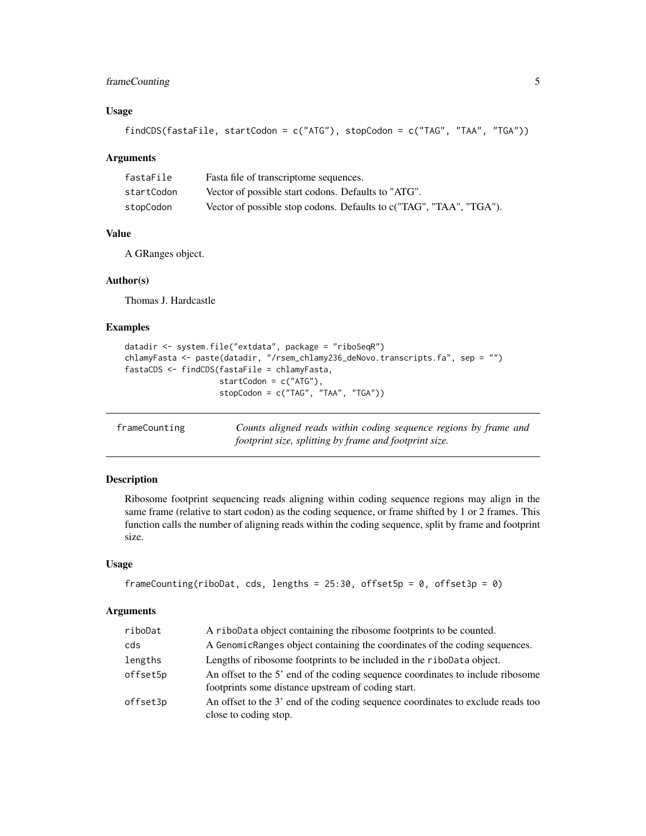# <span id="page-4-0"></span>frameCounting 5

# Usage

```
findCDS(fastaFile, startCodon = c("ATG"), stopCodon = c("TAG", "TAA", "TGA"))
```
#### Arguments

| fastaFile  | Fasta file of transcriptome sequences.                              |
|------------|---------------------------------------------------------------------|
| startCodon | Vector of possible start codons. Defaults to "ATG".                 |
| stopCodon  | Vector of possible stop codons. Defaults to c("TAG", "TAA", "TGA"). |

# Value

A GRanges object.

#### Author(s)

Thomas J. Hardcastle

# Examples

```
datadir <- system.file("extdata", package = "riboSeqR")
chlamyFasta <- paste(datadir, "/rsem_chlamy236_deNovo.transcripts.fa", sep = "")
fastaCDS <- findCDS(fastaFile = chlamyFasta,
                   startCodon = c("ATG"),
                    stopCodon = c("TAG", "TAA", "TGA"))
```
<span id="page-4-1"></span>

| frameCounting | Counts aligned reads within coding sequence regions by frame and |  |  |
|---------------|------------------------------------------------------------------|--|--|
|               | footprint size, splitting by frame and footprint size.           |  |  |

#### Description

Ribosome footprint sequencing reads aligning within coding sequence regions may align in the same frame (relative to start codon) as the coding sequence, or frame shifted by 1 or 2 frames. This function calls the number of aligning reads within the coding sequence, split by frame and footprint size.

# Usage

```
frameCounting(riboDat, cds, lengths = 25:30, offset5p = 0, offset3p = 0)
```
# Arguments

| riboDat  | A riboData object containing the ribosome footprints to be counted.                                                                  |
|----------|--------------------------------------------------------------------------------------------------------------------------------------|
| cds      | A GenomicRanges object containing the coordinates of the coding sequences.                                                           |
| lengths  | Lengths of ribosome footprints to be included in the ribodata object.                                                                |
| offset5p | An offset to the 5' end of the coding sequence coordinates to include ribosome<br>footprints some distance upstream of coding start. |
| offset3p | An offset to the 3' end of the coding sequence coordinates to exclude reads too<br>close to coding stop.                             |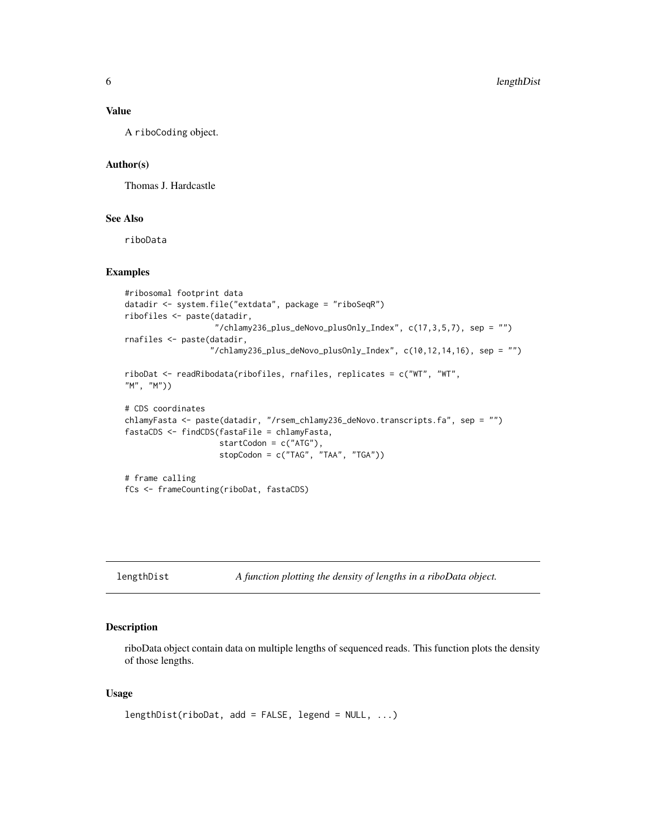## <span id="page-5-0"></span>Value

A riboCoding object.

#### Author(s)

Thomas J. Hardcastle

## See Also

riboData

# Examples

```
#ribosomal footprint data
datadir <- system.file("extdata", package = "riboSeqR")
ribofiles <- paste(datadir,
                   "/chlamy236_plus_deNovo_plusOnly_Index", c(17,3,5,7), sep = "")
rnafiles <- paste(datadir,
                  "/chlamy236_plus_deNovo_plusOnly_Index", c(10, 12, 14, 16), sep = "")
riboDat <- readRibodata(ribofiles, rnafiles, replicates = c("WT", "WT",
"M", "M"))
# CDS coordinates
chlamyFasta <- paste(datadir, "/rsem_chlamy236_deNovo.transcripts.fa", sep = "")
fastaCDS <- findCDS(fastaFile = chlamyFasta,
                    startCodon = c("ATG"),
                    stopCodon = c("TAG", "TAA", "TGA"))
# frame calling
fCs <- frameCounting(riboDat, fastaCDS)
```
lengthDist *A function plotting the density of lengths in a riboData object.*

# Description

riboData object contain data on multiple lengths of sequenced reads. This function plots the density of those lengths.

#### Usage

```
lengthDist(riboDat, add = FALSE, legend = NULL, ...)
```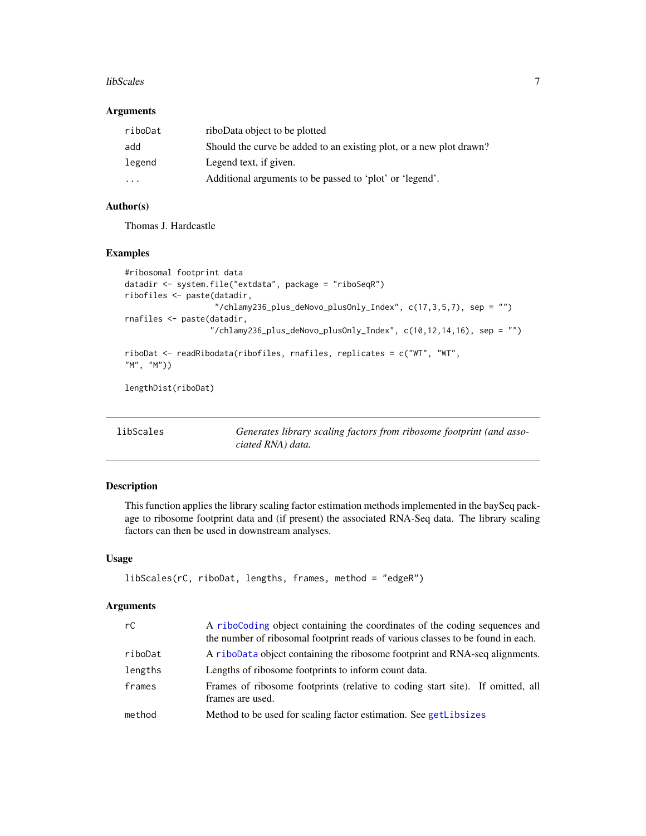#### <span id="page-6-0"></span>libScales 7 and 2012 12:00 the state of the state of the state of the state of the state of the state of the state of the state of the state of the state of the state of the state of the state of the state of the state of

#### Arguments

| riboDat                 | riboData object to be plotted                                       |
|-------------------------|---------------------------------------------------------------------|
| add                     | Should the curve be added to an existing plot, or a new plot drawn? |
| legend                  | Legend text, if given.                                              |
| $\cdot$ $\cdot$ $\cdot$ | Additional arguments to be passed to 'plot' or 'legend'.            |

# Author(s)

Thomas J. Hardcastle

#### Examples

```
#ribosomal footprint data
datadir <- system.file("extdata", package = "riboSeqR")
ribofiles <- paste(datadir,
                   "/chlamy236_plus_deNovo_plusOnly_Index", c(17,3,5,7), sep = "")
rnafiles <- paste(datadir,
                  "/chlamy236_plus_deNovo_plusOnly_Index", c(10,12,14,16), sep = "")
riboDat <- readRibodata(ribofiles, rnafiles, replicates = c("WT", "WT",
"M", "M"))
```
lengthDist(riboDat)

<span id="page-6-1"></span>

| libScales |  |
|-----------|--|
|-----------|--|

Generates library scaling factors from ribosome footprint (and asso*ciated RNA) data.*

#### Description

This function applies the library scaling factor estimation methods implemented in the baySeq package to ribosome footprint data and (if present) the associated RNA-Seq data. The library scaling factors can then be used in downstream analyses.

#### Usage

```
libScales(rC, riboDat, lengths, frames, method = "edgeR")
```
# Arguments

| rC      | A riboCoding object containing the coordinates of the coding sequences and<br>the number of ribosomal footprint reads of various classes to be found in each. |  |  |
|---------|---------------------------------------------------------------------------------------------------------------------------------------------------------------|--|--|
| riboDat | A riboData object containing the ribosome footprint and RNA-seq alignments.                                                                                   |  |  |
| lengths | Lengths of ribosome footprints to inform count data.                                                                                                          |  |  |
| frames  | Frames of ribosome footprints (relative to coding start site). If omitted, all<br>frames are used.                                                            |  |  |
| method  | Method to be used for scaling factor estimation. See getLibsizes                                                                                              |  |  |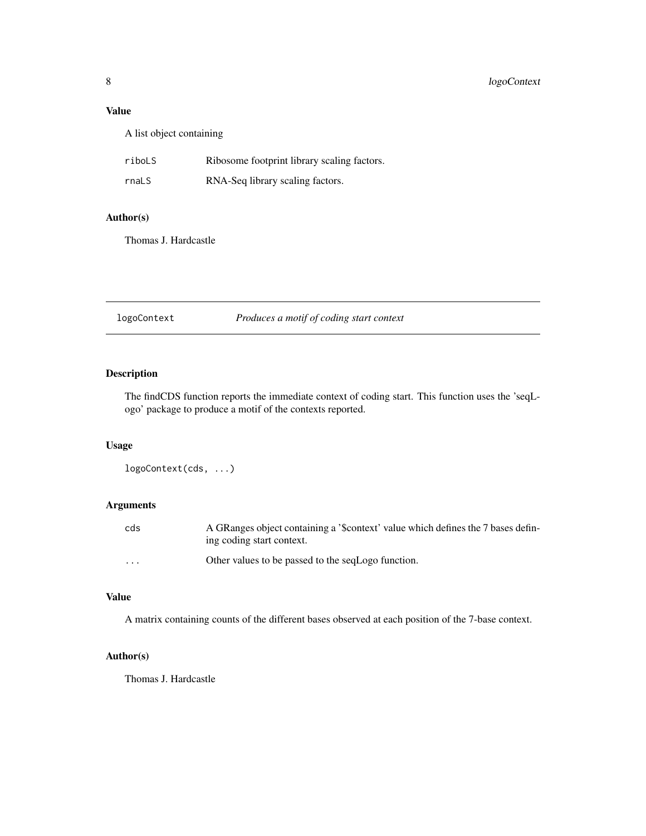# <span id="page-7-0"></span>Value

A list object containing

| riboLS | Ribosome footprint library scaling factors. |
|--------|---------------------------------------------|
| rnaLS  | RNA-Seq library scaling factors.            |

# Author(s)

Thomas J. Hardcastle

| logoContext | Produces a motif of coding start context |  |  |
|-------------|------------------------------------------|--|--|
|-------------|------------------------------------------|--|--|

# Description

The findCDS function reports the immediate context of coding start. This function uses the 'seqLogo' package to produce a motif of the contexts reported.

#### Usage

```
logoContext(cds, ...)
```
# Arguments

| cds      | A GRanges object containing a '\$context' value which defines the 7 bases defin-<br>ing coding start context. |
|----------|---------------------------------------------------------------------------------------------------------------|
| $\cdots$ | Other values to be passed to the segLogo function.                                                            |

#### Value

A matrix containing counts of the different bases observed at each position of the 7-base context.

# Author(s)

Thomas J. Hardcastle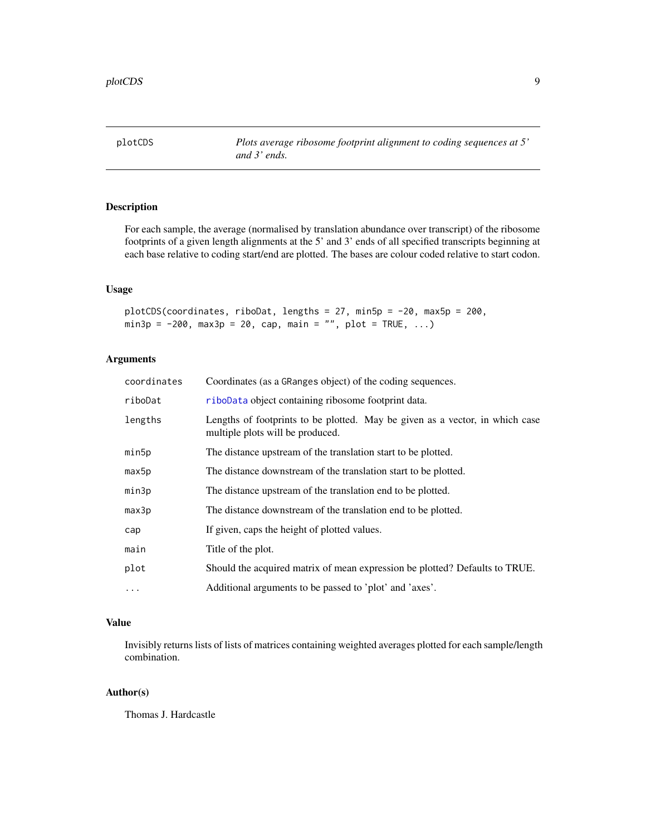<span id="page-8-0"></span>plotCDS *Plots average ribosome footprint alignment to coding sequences at 5' and 3' ends.*

# Description

For each sample, the average (normalised by translation abundance over transcript) of the ribosome footprints of a given length alignments at the 5' and 3' ends of all specified transcripts beginning at each base relative to coding start/end are plotted. The bases are colour coded relative to start codon.

# Usage

plotCDS(coordinates, riboDat, lengths = 27, min5p = -20, max5p = 200,  $min3p = -200$ ,  $max3p = 20$ ,  $cap, main = "", plot = TRUE, ...)$ 

# Arguments

| coordinates | Coordinates (as a GRanges object) of the coding sequences.                                                       |
|-------------|------------------------------------------------------------------------------------------------------------------|
| riboDat     | riboData object containing ribosome footprint data.                                                              |
| lengths     | Lengths of footprints to be plotted. May be given as a vector, in which case<br>multiple plots will be produced. |
| min5p       | The distance upstream of the translation start to be plotted.                                                    |
| max5p       | The distance downstream of the translation start to be plotted.                                                  |
| min3p       | The distance upstream of the translation end to be plotted.                                                      |
| max3p       | The distance downstream of the translation end to be plotted.                                                    |
| cap         | If given, caps the height of plotted values.                                                                     |
| main        | Title of the plot.                                                                                               |
| plot        | Should the acquired matrix of mean expression be plotted? Defaults to TRUE.                                      |
| $\cdots$    | Additional arguments to be passed to 'plot' and 'axes'.                                                          |

# Value

Invisibly returns lists of lists of matrices containing weighted averages plotted for each sample/length combination.

# Author(s)

Thomas J. Hardcastle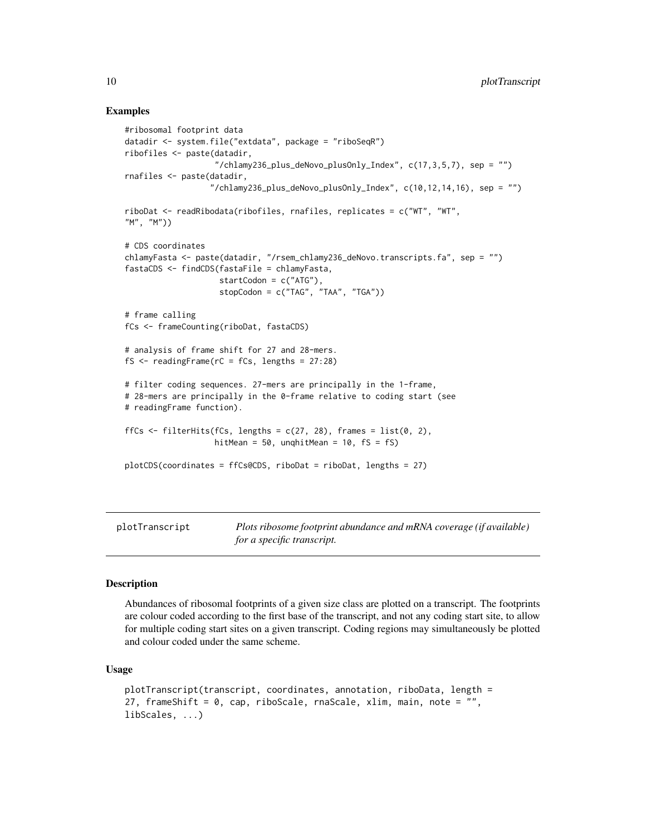# Examples

```
#ribosomal footprint data
datadir <- system.file("extdata", package = "riboSeqR")
ribofiles <- paste(datadir,
                   ''/chlamy236_plus_deNovo_plusOnly_Index", c(17,3,5,7), sep = "")
rnafiles <- paste(datadir,
                  "/chlamy236_plus_deNovo_plusOnly_Index", c(10,12,14,16), sep = "")
riboDat <- readRibodata(ribofiles, rnafiles, replicates = c("WT", "WT",
"M", "M"))
# CDS coordinates
chlamyFasta <- paste(datadir, "/rsem_chlamy236_deNovo.transcripts.fa", sep = "")
fastaCDS <- findCDS(fastaFile = chlamyFasta,
                    startCodon = c("ATG"),
                    stopCodon = c("TAG", "TAA", "TGA"))
# frame calling
fCs <- frameCounting(riboDat, fastaCDS)
# analysis of frame shift for 27 and 28-mers.
fs \leftarrow readingFrame(rC = fCs, lengths = 27:28)# filter coding sequences. 27-mers are principally in the 1-frame,
# 28-mers are principally in the 0-frame relative to coding start (see
# readingFrame function).
ffCs \le filterHits(fCs, lengths = c(27, 28), frames = list(0, 2),
                   hitMean = 50, unqhitMean = 10, fs = fs)
plotCDS(coordinates = ffCs@CDS, riboDat = riboDat, lengths = 27)
```
plotTranscript *Plots ribosome footprint abundance and mRNA coverage (if available) for a specific transcript.*

#### **Description**

Abundances of ribosomal footprints of a given size class are plotted on a transcript. The footprints are colour coded according to the first base of the transcript, and not any coding start site, to allow for multiple coding start sites on a given transcript. Coding regions may simultaneously be plotted and colour coded under the same scheme.

#### Usage

```
plotTranscript(transcript, coordinates, annotation, riboData, length =
27, frameShift = 0, cap, riboScale, rnaScale, xlim, main, note = ",
libScales, ...)
```
<span id="page-9-0"></span>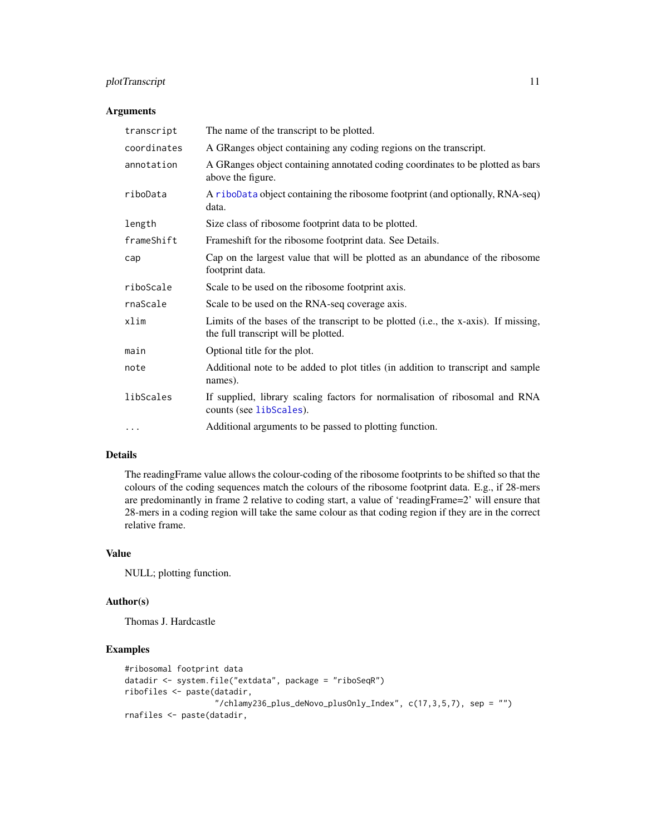# <span id="page-10-0"></span>plotTranscript 11

# Arguments

| transcript  | The name of the transcript to be plotted.                                                                                   |
|-------------|-----------------------------------------------------------------------------------------------------------------------------|
| coordinates | A GRanges object containing any coding regions on the transcript.                                                           |
| annotation  | A GRanges object containing annotated coding coordinates to be plotted as bars<br>above the figure.                         |
| riboData    | A riboData object containing the ribosome footprint (and optionally, RNA-seq)<br>data.                                      |
| length      | Size class of ribosome footprint data to be plotted.                                                                        |
| frameShift  | Frameshift for the ribosome footprint data. See Details.                                                                    |
| cap         | Cap on the largest value that will be plotted as an abundance of the ribosome<br>footprint data.                            |
| riboScale   | Scale to be used on the ribosome footprint axis.                                                                            |
| rnaScale    | Scale to be used on the RNA-seq coverage axis.                                                                              |
| xlim        | Limits of the bases of the transcript to be plotted (i.e., the x-axis). If missing,<br>the full transcript will be plotted. |
| main        | Optional title for the plot.                                                                                                |
| note        | Additional note to be added to plot titles (in addition to transcript and sample<br>names).                                 |
| libScales   | If supplied, library scaling factors for normalisation of ribosomal and RNA<br>counts (see libScales).                      |
| $\cdots$    | Additional arguments to be passed to plotting function.                                                                     |

#### Details

The readingFrame value allows the colour-coding of the ribosome footprints to be shifted so that the colours of the coding sequences match the colours of the ribosome footprint data. E.g., if 28-mers are predominantly in frame 2 relative to coding start, a value of 'readingFrame=2' will ensure that 28-mers in a coding region will take the same colour as that coding region if they are in the correct relative frame.

# Value

NULL; plotting function.

#### Author(s)

Thomas J. Hardcastle

# Examples

```
#ribosomal footprint data
datadir <- system.file("extdata", package = "riboSeqR")
ribofiles <- paste(datadir,
                   ''/chlamy236_plus_deNovo_plusOnly_Index", c(17,3,5,7), sep = "")
rnafiles <- paste(datadir,
```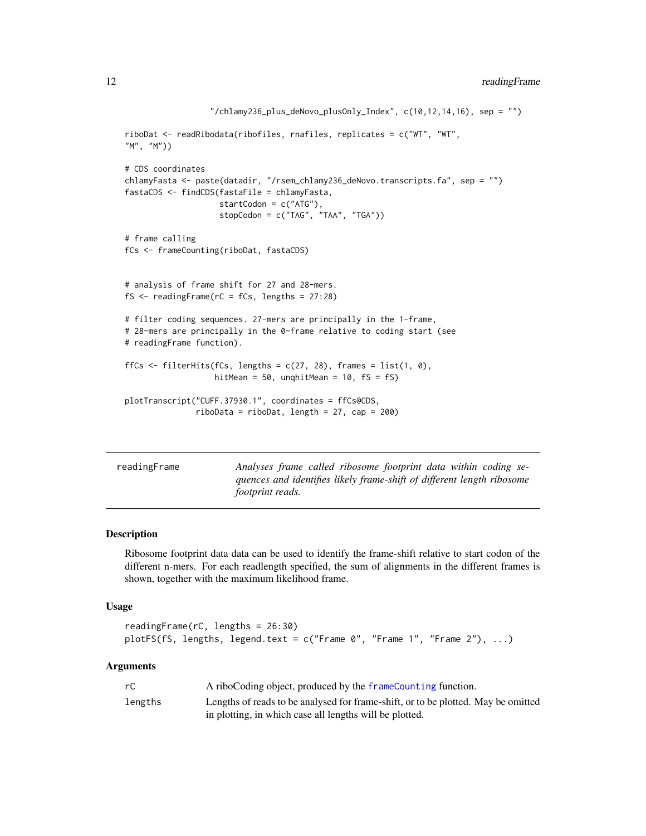```
''/chlamy236_plus_deNovo_plusOnly_Index", c(10,12,14,16), sep = "")
riboDat <- readRibodata(ribofiles, rnafiles, replicates = c("WT", "WT",
"M", "M"))
# CDS coordinates
chlamyFasta <- paste(datadir, "/rsem_chlamy236_deNovo.transcripts.fa", sep = "")
fastaCDS <- findCDS(fastaFile = chlamyFasta,
                    startCodon = c("ATG"),
                    stopCodon = c("TAG", "TAA", "TGA"))
# frame calling
fCs <- frameCounting(riboDat, fastaCDS)
# analysis of frame shift for 27 and 28-mers.
fS <- readingFrame(rC = fCs, lengths = 27:28)
# filter coding sequences. 27-mers are principally in the 1-frame,
# 28-mers are principally in the 0-frame relative to coding start (see
# readingFrame function).
ffCs \le filterHits(fCs, lengths = c(27, 28), frames = list(1, 0),
                   hitMean = 50, unqhitMean = 10, fs = fs)
plotTranscript("CUFF.37930.1", coordinates = ffCs@CDS,
               ribobata = ribobat, length = 27, cap = 200
```

| readingFrame | Analyses frame called ribosome footprint data within coding se-        |
|--------------|------------------------------------------------------------------------|
|              | quences and identifies likely frame-shift of different length ribosome |
|              | <i>footprint reads.</i>                                                |

#### Description

Ribosome footprint data data can be used to identify the frame-shift relative to start codon of the different n-mers. For each readlength specified, the sum of alignments in the different frames is shown, together with the maximum likelihood frame.

#### Usage

```
readingFrame(rC, lengths = 26:30)
plotFS(fS, lengths, legend.text = c("Frame 0", "Frame 1", "Frame 2"), ...)
```
#### Arguments

| rC      | A riboCoding object, produced by the frameCounting function.                      |
|---------|-----------------------------------------------------------------------------------|
| lengths | Lengths of reads to be analysed for frame-shift, or to be plotted. May be omitted |
|         | in plotting, in which case all lengths will be plotted.                           |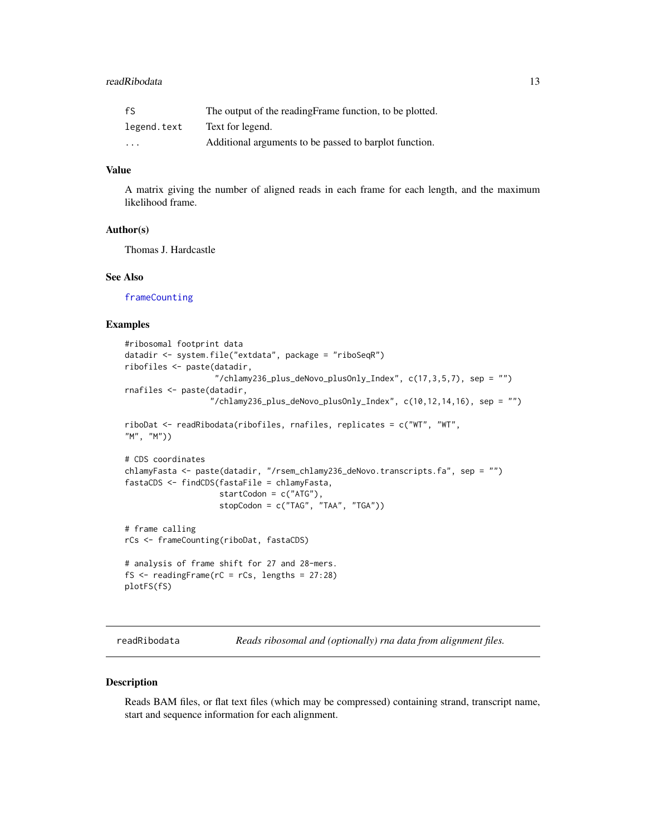#### <span id="page-12-0"></span>readRibodata 13

| fS                      | The output of the reading Frame function, to be plotted. |
|-------------------------|----------------------------------------------------------|
| legend.text             | Text for legend.                                         |
| $\cdot$ $\cdot$ $\cdot$ | Additional arguments to be passed to barplot function.   |

#### Value

A matrix giving the number of aligned reads in each frame for each length, and the maximum likelihood frame.

#### Author(s)

Thomas J. Hardcastle

# See Also

[frameCounting](#page-4-1)

# Examples

```
#ribosomal footprint data
datadir <- system.file("extdata", package = "riboSeqR")
ribofiles <- paste(datadir,
                   "/chlamy236_plus_deNovo_plusOnly_Index", c(17,3,5,7), sep = "")
rnafiles <- paste(datadir,
                  "/chlamy236_plus_deNovo_plusOnly_Index", c(10,12,14,16), sep = "")
riboDat <- readRibodata(ribofiles, rnafiles, replicates = c("WT", "WT",
"M", "M"))
# CDS coordinates
chlamyFasta <- paste(datadir, "/rsem_chlamy236_deNovo.transcripts.fa", sep = "")
fastaCDS <- findCDS(fastaFile = chlamyFasta,
                    startCodon = c("ATG"),
                    stopCodon = c("TAG", "TAA", "TGA"))
# frame calling
rCs <- frameCounting(riboDat, fastaCDS)
# analysis of frame shift for 27 and 28-mers.
fS <- readingFrame(rC = rCs, lengths = 27:28)
plotFS(fS)
```
readRibodata *Reads ribosomal and (optionally) rna data from alignment files.*

#### Description

Reads BAM files, or flat text files (which may be compressed) containing strand, transcript name, start and sequence information for each alignment.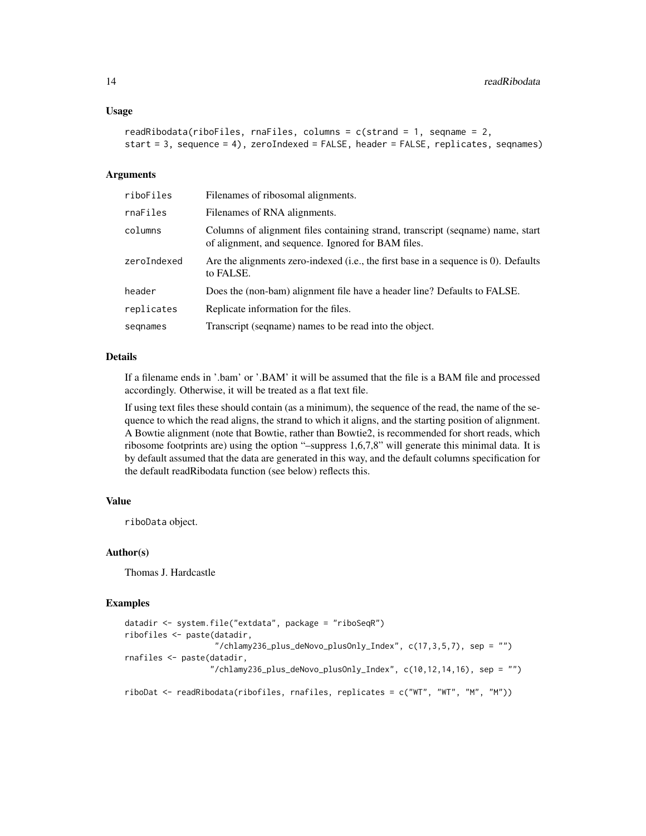#### Usage

```
readRibodata(riboFiles, rnaFiles, columns = c(strand = 1, seqname = 2,
start = 3, sequence = 4), zeroIndexed = FALSE, header = FALSE, replicates, seqnames)
```
#### Arguments

| riboFiles   | Filenames of ribosomal alignments.                                                                                                   |
|-------------|--------------------------------------------------------------------------------------------------------------------------------------|
| rnaFiles    | Filenames of RNA alignments.                                                                                                         |
| columns     | Columns of alignment files containing strand, transcript (seqname) name, start<br>of alignment, and sequence. Ignored for BAM files. |
| zeroIndexed | Are the alignments zero-indexed (i.e., the first base in a sequence is 0). Defaults<br>to FALSE.                                     |
| header      | Does the (non-bam) alignment file have a header line? Defaults to FALSE.                                                             |
| replicates  | Replicate information for the files.                                                                                                 |
| segnames    | Transcript (sequame) names to be read into the object.                                                                               |

#### Details

If a filename ends in '.bam' or '.BAM' it will be assumed that the file is a BAM file and processed accordingly. Otherwise, it will be treated as a flat text file.

If using text files these should contain (as a minimum), the sequence of the read, the name of the sequence to which the read aligns, the strand to which it aligns, and the starting position of alignment. A Bowtie alignment (note that Bowtie, rather than Bowtie2, is recommended for short reads, which ribosome footprints are) using the option "–suppress 1,6,7,8" will generate this minimal data. It is by default assumed that the data are generated in this way, and the default columns specification for the default readRibodata function (see below) reflects this.

#### Value

riboData object.

# Author(s)

Thomas J. Hardcastle

#### Examples

```
datadir <- system.file("extdata", package = "riboSeqR")
ribofiles <- paste(datadir,
                   ''/chlamy236_plus_deNovo_plusOnly_Index", c(17,3,5,7), sep = "")
rnafiles <- paste(datadir,
                  ''/chlamy236_plus_deNovo_plusOnly_Index", c(10,12,14,16), sep = "")
riboDat <- readRibodata(ribofiles, rnafiles, replicates = c("WT", "WT", "M", "M"))
```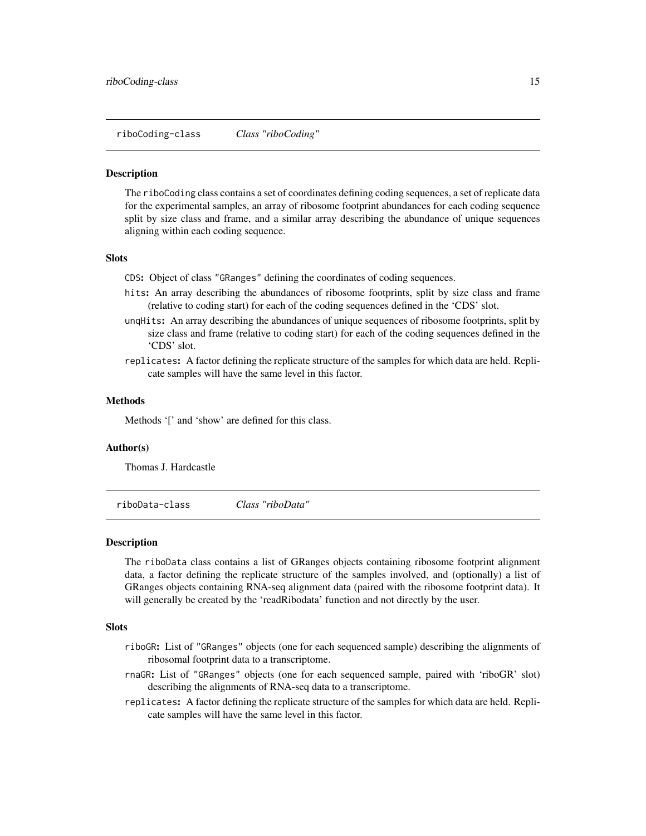<span id="page-14-0"></span>riboCoding-class *Class "riboCoding"*

#### <span id="page-14-1"></span>**Description**

The riboCoding class contains a set of coordinates defining coding sequences, a set of replicate data for the experimental samples, an array of ribosome footprint abundances for each coding sequence split by size class and frame, and a similar array describing the abundance of unique sequences aligning within each coding sequence.

#### **Slots**

CDS: Object of class "GRanges" defining the coordinates of coding sequences.

- hits: An array describing the abundances of ribosome footprints, split by size class and frame (relative to coding start) for each of the coding sequences defined in the 'CDS' slot.
- unqHits: An array describing the abundances of unique sequences of ribosome footprints, split by size class and frame (relative to coding start) for each of the coding sequences defined in the 'CDS' slot.
- replicates: A factor defining the replicate structure of the samples for which data are held. Replicate samples will have the same level in this factor.

#### Methods

Methods '[' and 'show' are defined for this class.

#### Author(s)

Thomas J. Hardcastle

riboData-class *Class "riboData"*

#### <span id="page-14-2"></span>Description

The riboData class contains a list of GRanges objects containing ribosome footprint alignment data, a factor defining the replicate structure of the samples involved, and (optionally) a list of GRanges objects containing RNA-seq alignment data (paired with the ribosome footprint data). It will generally be created by the 'readRibodata' function and not directly by the user.

#### **Slots**

- riboGR: List of "GRanges" objects (one for each sequenced sample) describing the alignments of ribosomal footprint data to a transcriptome.
- rnaGR: List of "GRanges" objects (one for each sequenced sample, paired with 'riboGR' slot) describing the alignments of RNA-seq data to a transcriptome.
- replicates: A factor defining the replicate structure of the samples for which data are held. Replicate samples will have the same level in this factor.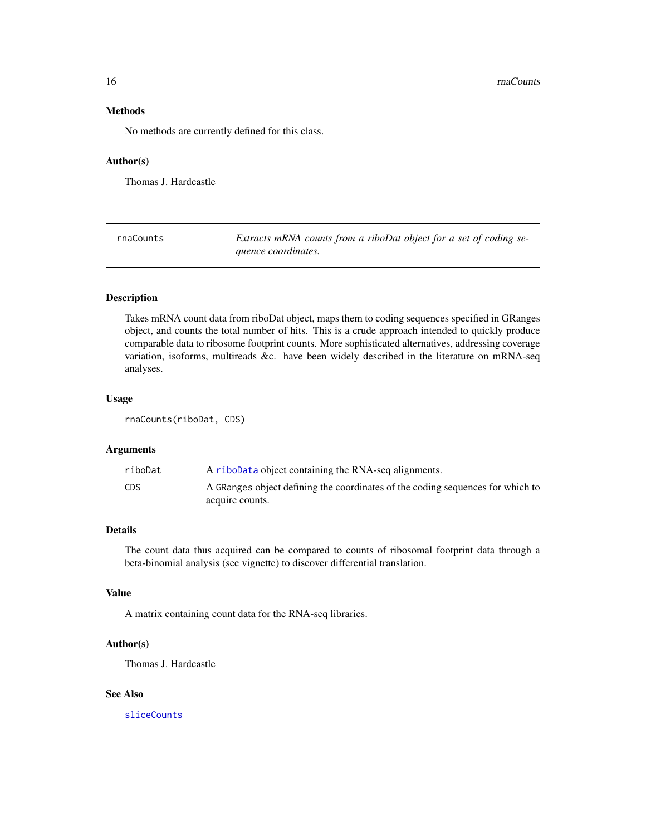<span id="page-15-0"></span>16 *maCounts* 

# Methods

No methods are currently defined for this class.

#### Author(s)

Thomas J. Hardcastle

<span id="page-15-1"></span>rnaCounts *Extracts mRNA counts from a riboDat object for a set of coding sequence coordinates.*

#### Description

Takes mRNA count data from riboDat object, maps them to coding sequences specified in GRanges object, and counts the total number of hits. This is a crude approach intended to quickly produce comparable data to ribosome footprint counts. More sophisticated alternatives, addressing coverage variation, isoforms, multireads &c. have been widely described in the literature on mRNA-seq analyses.

#### Usage

rnaCounts(riboDat, CDS)

#### Arguments

| riboDat | A riboData object containing the RNA-seq alignments.                           |
|---------|--------------------------------------------------------------------------------|
| CDS     | A GRanges object defining the coordinates of the coding sequences for which to |
|         | acquire counts.                                                                |

# Details

The count data thus acquired can be compared to counts of ribosomal footprint data through a beta-binomial analysis (see vignette) to discover differential translation.

#### Value

A matrix containing count data for the RNA-seq libraries.

# Author(s)

Thomas J. Hardcastle

## See Also

[sliceCounts](#page-16-1)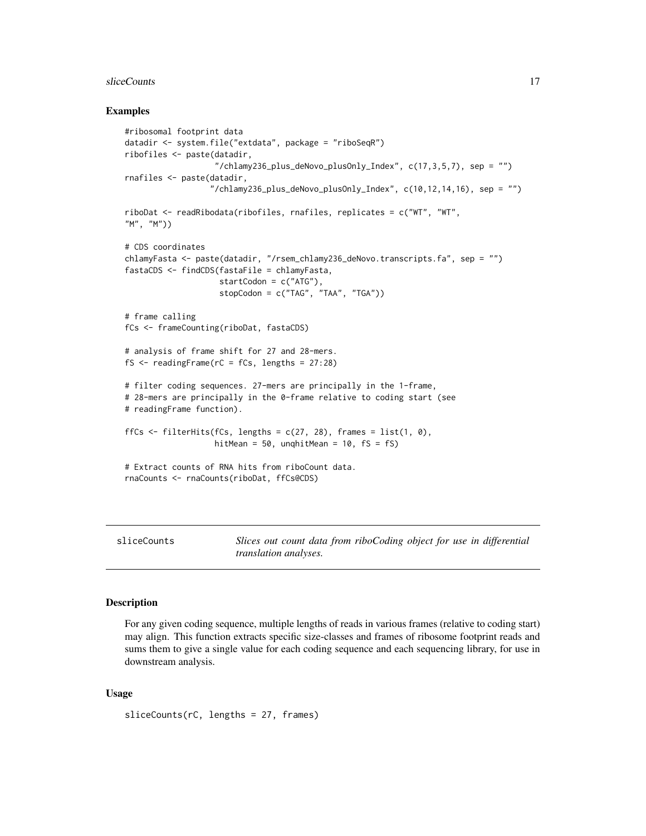#### <span id="page-16-0"></span>sliceCounts 17

#### Examples

```
#ribosomal footprint data
datadir <- system.file("extdata", package = "riboSeqR")
ribofiles <- paste(datadir,
                   "/chlamy236_plus_deNovo_plusOnly_Index", c(17,3,5,7), sep = "")
rnafiles <- paste(datadir,
                  ''/chlamy236_plus_deNovo_plusOnly_Index", c(10, 12, 14, 16), sep = "")
riboDat <- readRibodata(ribofiles, rnafiles, replicates = c("WT", "WT",
"M", "M"))
# CDS coordinates
chlamyFasta <- paste(datadir, "/rsem_chlamy236_deNovo.transcripts.fa", sep = "")
fastaCDS <- findCDS(fastaFile = chlamyFasta,
                    startCodon = c("ATG"),
                    stopCodon = c("TAG", "TAA", "TGA"))
# frame calling
fCs <- frameCounting(riboDat, fastaCDS)
# analysis of frame shift for 27 and 28-mers.
fS <- readingFrame(rC = fCs, lengths = 27:28)
# filter coding sequences. 27-mers are principally in the 1-frame,
# 28-mers are principally in the 0-frame relative to coding start (see
# readingFrame function).
ffCs \le filterHits(fCs, lengths = c(27, 28), frames = list(1, 0),
                   hitMean = 50, unqhitMean = 10, fs = fs)
# Extract counts of RNA hits from riboCount data.
rnaCounts <- rnaCounts(riboDat, ffCs@CDS)
```
<span id="page-16-1"></span>sliceCounts *Slices out count data from riboCoding object for use in differential translation analyses.*

#### Description

For any given coding sequence, multiple lengths of reads in various frames (relative to coding start) may align. This function extracts specific size-classes and frames of ribosome footprint reads and sums them to give a single value for each coding sequence and each sequencing library, for use in downstream analysis.

### Usage

sliceCounts(rC, lengths = 27, frames)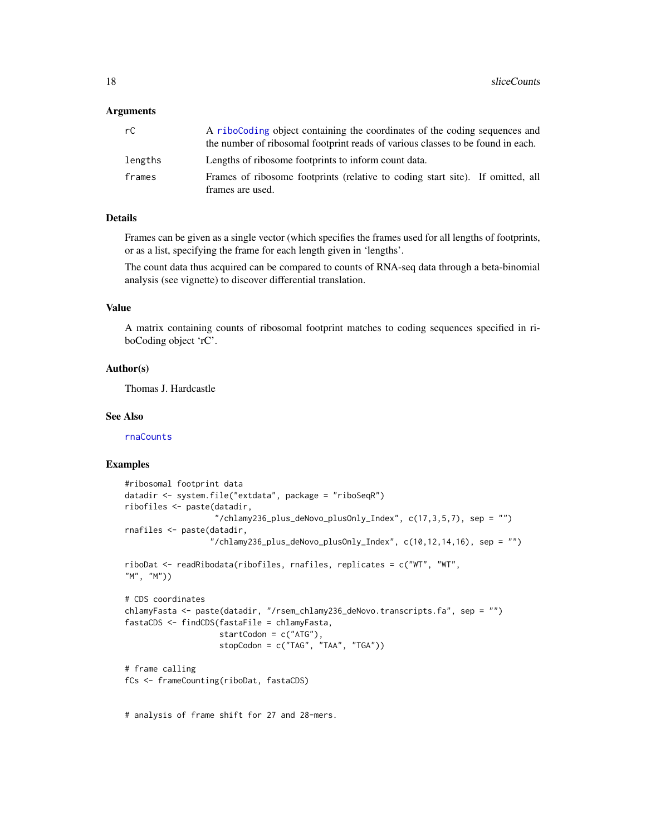#### <span id="page-17-0"></span>Arguments

| rC      | A riboCoding object containing the coordinates of the coding sequences and<br>the number of ribosomal footprint reads of various classes to be found in each. |
|---------|---------------------------------------------------------------------------------------------------------------------------------------------------------------|
| lengths | Lengths of ribosome footprints to inform count data.                                                                                                          |
| frames  | Frames of ribosome footprints (relative to coding start site). If omitted, all<br>frames are used.                                                            |

#### Details

Frames can be given as a single vector (which specifies the frames used for all lengths of footprints, or as a list, specifying the frame for each length given in 'lengths'.

The count data thus acquired can be compared to counts of RNA-seq data through a beta-binomial analysis (see vignette) to discover differential translation.

# Value

A matrix containing counts of ribosomal footprint matches to coding sequences specified in riboCoding object 'rC'.

#### Author(s)

Thomas J. Hardcastle

# See Also

[rnaCounts](#page-15-1)

#### Examples

```
#ribosomal footprint data
datadir <- system.file("extdata", package = "riboSeqR")
ribofiles <- paste(datadir,
                   ''/chlamy236_plus_deNovo_plusOnly_Index", c(17,3,5,7), sep = "")
rnafiles <- paste(datadir,
                  "/chlamy236_plus_deNovo_plusOnly_Index", c(10,12,14,16), sep = "")
riboDat <- readRibodata(ribofiles, rnafiles, replicates = c("WT", "WT",
"M", "M"))
# CDS coordinates
chlamyFasta <- paste(datadir, "/rsem_chlamy236_deNovo.transcripts.fa", sep = "")
fastaCDS <- findCDS(fastaFile = chlamyFasta,
                    startCodon = c("ATG"),
                    stopCodon = c("TAG", "TAA", "TGA"))
# frame calling
fCs <- frameCounting(riboDat, fastaCDS)
```
# analysis of frame shift for 27 and 28-mers.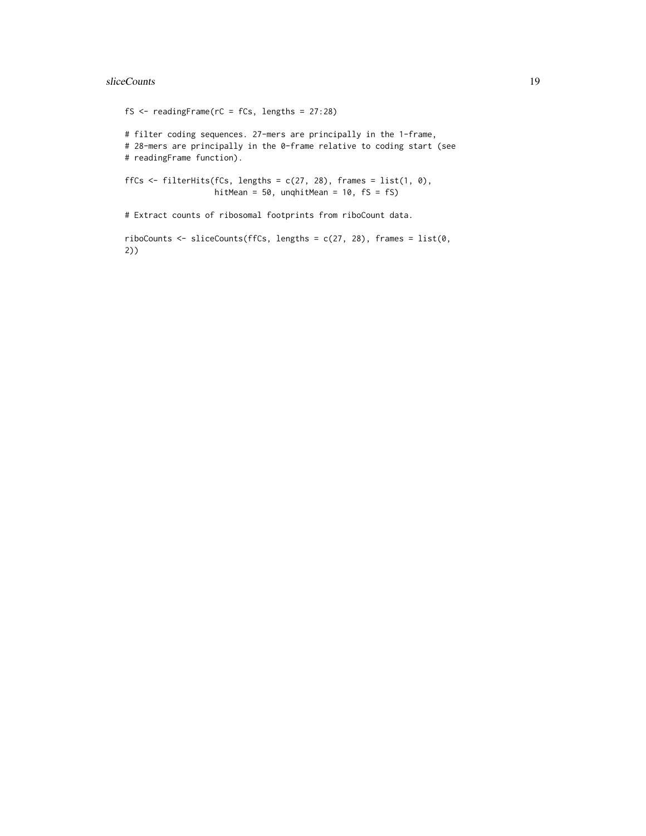# sliceCounts 19

```
fS \le readingFrame(rC = fCs, lengths = 27:28)
# filter coding sequences. 27-mers are principally in the 1-frame,
# 28-mers are principally in the 0-frame relative to coding start (see
# readingFrame function).
ffCs \le filterHits(fCs, lengths = c(27, 28), frames = list(1, 0),
                   hitMean = 50, unqhitMean = 10, fs = fs)
# Extract counts of ribosomal footprints from riboCount data.
riboCounts \le sliceCounts(ffCs, lengths = c(27, 28), frames = list(0,
2))
```